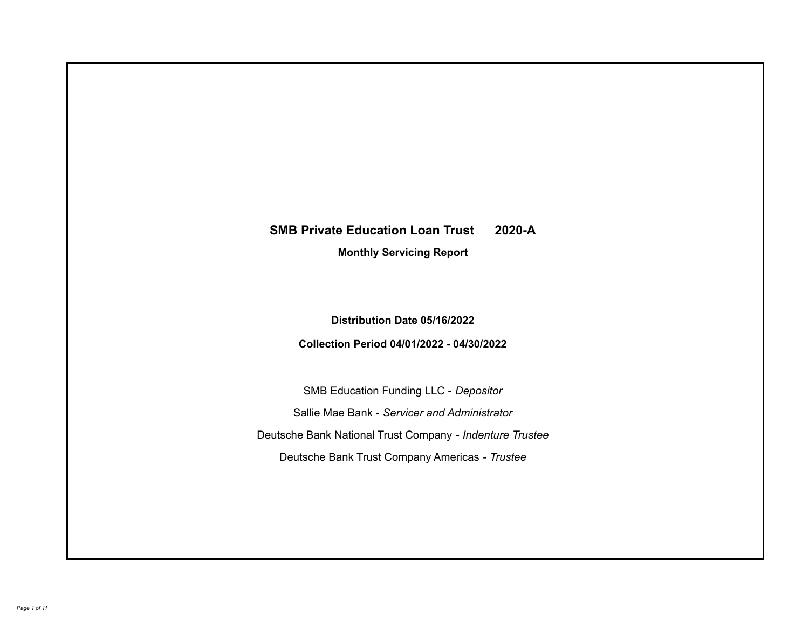# **SMB Private Education Loan Trust 2020-A**

**Monthly Servicing Report**

**Distribution Date 05/16/2022**

**Collection Period 04/01/2022 - 04/30/2022**

SMB Education Funding LLC - *Depositor* Sallie Mae Bank - *Servicer and Administrator* Deutsche Bank National Trust Company - *Indenture Trustee* Deutsche Bank Trust Company Americas - *Trustee*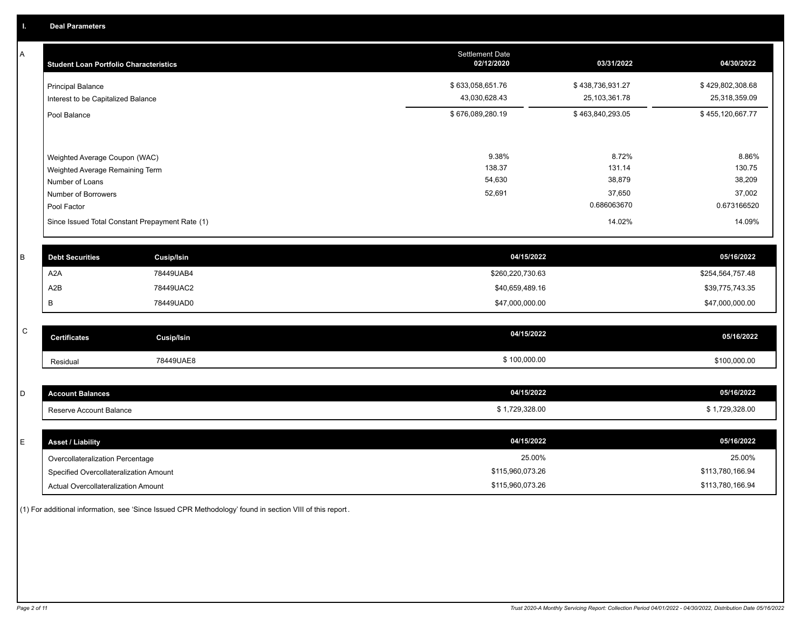A

| <b>Student Loan Portfolio Characteristics</b>                  | <b>Settlement Date</b><br>02/12/2020 | 03/31/2022                        | 04/30/2022                        |
|----------------------------------------------------------------|--------------------------------------|-----------------------------------|-----------------------------------|
| <b>Principal Balance</b><br>Interest to be Capitalized Balance | \$633,058,651.76<br>43,030,628.43    | \$438,736,931.27<br>25,103,361.78 | \$429,802,308.68<br>25,318,359.09 |
| Pool Balance                                                   | \$676,089,280.19                     | \$463,840,293.05                  | \$455,120,667.77                  |
|                                                                |                                      |                                   |                                   |
| Weighted Average Coupon (WAC)                                  | 9.38%                                | 8.72%                             | 8.86%                             |
| Weighted Average Remaining Term                                | 138.37                               | 131.14                            | 130.75                            |
| Number of Loans                                                | 54,630                               | 38,879                            | 38,209                            |
| Number of Borrowers                                            | 52,691                               | 37,650                            | 37,002                            |
| Pool Factor                                                    |                                      | 0.686063670                       | 0.673166520                       |
| Since Issued Total Constant Prepayment Rate (1)                |                                      | 14.02%                            | 14.09%                            |
|                                                                |                                      |                                   |                                   |

| <b>Debt Securities</b> | Cusip/Isin | 04/15/2022       | 05/16/2022       |
|------------------------|------------|------------------|------------------|
| A2A                    | 78449UAB4  | \$260,220,730.63 | \$254,564,757.48 |
| A2B                    | 78449UAC2  | \$40,659,489.16  | \$39,775,743.35  |
|                        | 78449UAD0  | \$47,000,000.00  | \$47,000,000.00  |

| C | <b>Certificates</b> | Cusip/Isin | 04/15/2022   | 05/16/2022   |
|---|---------------------|------------|--------------|--------------|
|   | Residual            | 78449UAE8  | \$100,000.00 | \$100,000.00 |

| count Balances          | 04/15/2022 | 05/16/2022  |
|-------------------------|------------|-------------|
| Reserve Account Balance | 729,328.00 | ,729,328.00 |

| E. | <b>Asset / Liability</b>               | 04/15/2022       | 05/16/2022       |
|----|----------------------------------------|------------------|------------------|
|    | Overcollateralization Percentage       | 25.00%           | 25.00%           |
|    | Specified Overcollateralization Amount | \$115,960,073.26 | \$113,780,166.94 |
|    | Actual Overcollateralization Amount    | \$115,960,073.26 | \$113,780,166.94 |

(1) For additional information, see 'Since Issued CPR Methodology' found in section VIII of this report .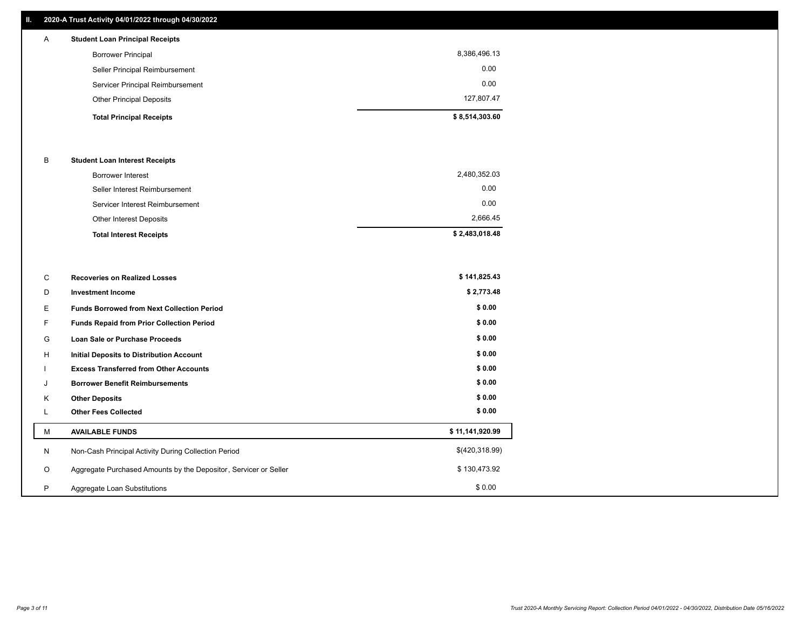## **II. 2020-A Trust Activity 04/01/2022 through 04/30/2022**

| A | <b>Student Loan Principal Receipts</b> |                |
|---|----------------------------------------|----------------|
|   | <b>Borrower Principal</b>              | 8,386,496.13   |
|   | Seller Principal Reimbursement         | 0.00           |
|   | Servicer Principal Reimbursement       | 0.00           |
|   | <b>Other Principal Deposits</b>        | 127,807.47     |
|   | <b>Total Principal Receipts</b>        | \$8,514,303.60 |

## B **Student Loan Interest Receipts**

| <b>Total Interest Receipts</b>  | \$2,483,018.48 |
|---------------------------------|----------------|
| Other Interest Deposits         | 2,666.45       |
| Servicer Interest Reimbursement | 0.00           |
| Seller Interest Reimbursement   | 0.00           |
| Borrower Interest               | 2,480,352.03   |

| C       | <b>Recoveries on Realized Losses</b>                             | \$141,825.43    |
|---------|------------------------------------------------------------------|-----------------|
| D       | <b>Investment Income</b>                                         | \$2,773.48      |
| E.      | <b>Funds Borrowed from Next Collection Period</b>                | \$0.00          |
| F.      | Funds Repaid from Prior Collection Period                        | \$0.00          |
| G       | Loan Sale or Purchase Proceeds                                   | \$0.00          |
| H       | Initial Deposits to Distribution Account                         | \$0.00          |
|         | <b>Excess Transferred from Other Accounts</b>                    | \$0.00          |
| J       | <b>Borrower Benefit Reimbursements</b>                           | \$0.00          |
| K       | <b>Other Deposits</b>                                            | \$0.00          |
| L.      | <b>Other Fees Collected</b>                                      | \$0.00          |
| M       | <b>AVAILABLE FUNDS</b>                                           | \$11,141,920.99 |
| N       | Non-Cash Principal Activity During Collection Period             | \$(420,318.99)  |
| $\circ$ | Aggregate Purchased Amounts by the Depositor, Servicer or Seller | \$130,473.92    |
| P       | Aggregate Loan Substitutions                                     | \$0.00          |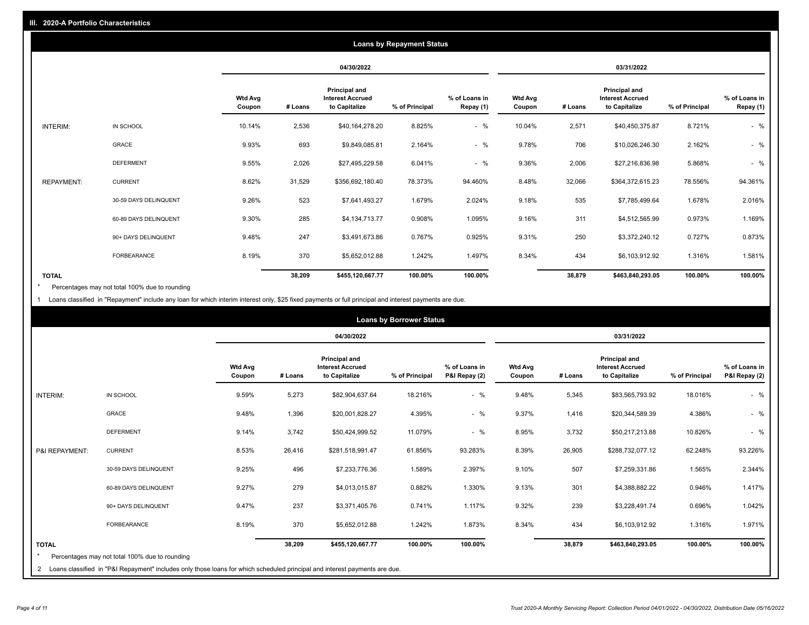|                   |                       |                          |            |                                                           | <b>Loans by Repayment Status</b> |                            |                          |         |                                                           |                |                            |
|-------------------|-----------------------|--------------------------|------------|-----------------------------------------------------------|----------------------------------|----------------------------|--------------------------|---------|-----------------------------------------------------------|----------------|----------------------------|
|                   |                       |                          | 04/30/2022 |                                                           |                                  |                            |                          |         | 03/31/2022                                                |                |                            |
|                   |                       | <b>Wtd Avg</b><br>Coupon | # Loans    | Principal and<br><b>Interest Accrued</b><br>to Capitalize | % of Principal                   | % of Loans in<br>Repay (1) | <b>Wtd Avg</b><br>Coupon | # Loans | Principal and<br><b>Interest Accrued</b><br>to Capitalize | % of Principal | % of Loans in<br>Repay (1) |
| INTERIM:          | IN SCHOOL             | 10.14%                   | 2,536      | \$40,164,278.20                                           | 8.825%                           | $-$ %                      | 10.04%                   | 2,571   | \$40,450,375.87                                           | 8.721%         | $-$ %                      |
|                   | <b>GRACE</b>          | 9.93%                    | 693        | \$9,849,085.81                                            | 2.164%                           | $-$ %                      | 9.78%                    | 706     | \$10,026,246.30                                           | 2.162%         | $-$ %                      |
|                   | <b>DEFERMENT</b>      | 9.55%                    | 2,026      | \$27,495,229.58                                           | 6.041%                           | $-$ %                      | 9.36%                    | 2,006   | \$27,216,836.98                                           | 5.868%         | $-$ %                      |
| <b>REPAYMENT:</b> | <b>CURRENT</b>        | 8.62%                    | 31,529     | \$356,692,180.40                                          | 78.373%                          | 94.460%                    | 8.48%                    | 32,066  | \$364,372,615.23                                          | 78.556%        | 94.361%                    |
|                   | 30-59 DAYS DELINQUENT | 9.26%                    | 523        | \$7,641,493.27                                            | 1.679%                           | 2.024%                     | 9.18%                    | 535     | \$7,785,499.64                                            | 1.678%         | 2.016%                     |
|                   | 60-89 DAYS DELINQUENT | 9.30%                    | 285        | \$4,134,713.77                                            | 0.908%                           | 1.095%                     | 9.16%                    | 311     | \$4,512,565.99                                            | 0.973%         | 1.169%                     |
|                   | 90+ DAYS DELINQUENT   | 9.48%                    | 247        | \$3,491,673.86                                            | 0.767%                           | 0.925%                     | 9.31%                    | 250     | \$3,372,240.12                                            | 0.727%         | 0.873%                     |
|                   | <b>FORBEARANCE</b>    | 8.19%                    | 370        | \$5,652,012.88                                            | 1.242%                           | 1.497%                     | 8.34%                    | 434     | \$6,103,912.92                                            | 1.316%         | 1.581%                     |
| <b>TOTAL</b>      |                       |                          | 38,209     | \$455,120,667.77                                          | 100.00%                          | 100.00%                    |                          | 38,879  | \$463,840,293.05                                          | 100.00%        | 100.00%                    |

Percentages may not total 100% due to rounding \*

1 Loans classified in "Repayment" include any loan for which interim interest only, \$25 fixed payments or full principal and interest payments are due.

|                                                                                                                                                                                                | <b>Wtd Avg</b><br>Coupon<br>9.59% | # Loans | 04/30/2022<br><b>Principal and</b><br><b>Interest Accrued</b><br>to Capitalize | % of Principal | % of Loans in |                          |         | 03/31/2022<br><b>Principal and</b>       |                |                                |
|------------------------------------------------------------------------------------------------------------------------------------------------------------------------------------------------|-----------------------------------|---------|--------------------------------------------------------------------------------|----------------|---------------|--------------------------|---------|------------------------------------------|----------------|--------------------------------|
|                                                                                                                                                                                                |                                   |         |                                                                                |                |               |                          |         |                                          |                |                                |
|                                                                                                                                                                                                |                                   |         |                                                                                |                | P&I Repay (2) | <b>Wtd Avg</b><br>Coupon | # Loans | <b>Interest Accrued</b><br>to Capitalize | % of Principal | % of Loans in<br>P&I Repay (2) |
| IN SCHOOL<br><b>INTERIM:</b>                                                                                                                                                                   |                                   | 5,273   | \$82,904,637.64                                                                | 18.216%        | $-$ %         | 9.48%                    | 5,345   | \$83,565,793.92                          | 18.016%        | $-$ %                          |
| <b>GRACE</b>                                                                                                                                                                                   | 9.48%                             | 1,396   | \$20,001,828.27                                                                | 4.395%         | $-$ %         | 9.37%                    | 1,416   | \$20,344,589.39                          | 4.386%         | $-$ %                          |
| <b>DEFERMENT</b>                                                                                                                                                                               | 9.14%                             | 3,742   | \$50,424,999.52                                                                | 11.079%        | $-$ %         | 8.95%                    | 3,732   | \$50,217,213.88                          | 10.826%        | $-$ %                          |
| <b>CURRENT</b><br>P&I REPAYMENT:                                                                                                                                                               | 8.53%                             | 26,416  | \$281,518,991.47                                                               | 61.856%        | 93.283%       | 8.39%                    | 26,905  | \$288,732,077.12                         | 62.248%        | 93.226%                        |
| 30-59 DAYS DELINQUENT                                                                                                                                                                          | 9.25%                             | 496     | \$7,233,776.36                                                                 | 1.589%         | 2.397%        | 9.10%                    | 507     | \$7,259,331.86                           | 1.565%         | 2.344%                         |
| 60-89 DAYS DELINQUENT                                                                                                                                                                          | 9.27%                             | 279     | \$4,013,015.87                                                                 | 0.882%         | 1.330%        | 9.13%                    | 301     | \$4,388,882.22                           | 0.946%         | 1.417%                         |
| 90+ DAYS DELINQUENT                                                                                                                                                                            | 9.47%                             | 237     | \$3,371,405.76                                                                 | 0.741%         | 1.117%        | 9.32%                    | 239     | \$3,228,491.74                           | 0.696%         | 1.042%                         |
| FORBEARANCE                                                                                                                                                                                    | 8.19%                             | 370     | \$5,652,012.88                                                                 | 1.242%         | 1.873%        | 8.34%                    | 434     | \$6,103,912.92                           | 1.316%         | 1.971%                         |
| <b>TOTAL</b><br>Percentages may not total 100% due to rounding<br>2 Loans classified in "P&I Repayment" includes only those loans for which scheduled principal and interest payments are due. |                                   | 38,209  | \$455,120,667.77                                                               | 100.00%        | 100.00%       |                          | 38,879  | \$463,840,293.05                         | 100.00%        | 100.00%                        |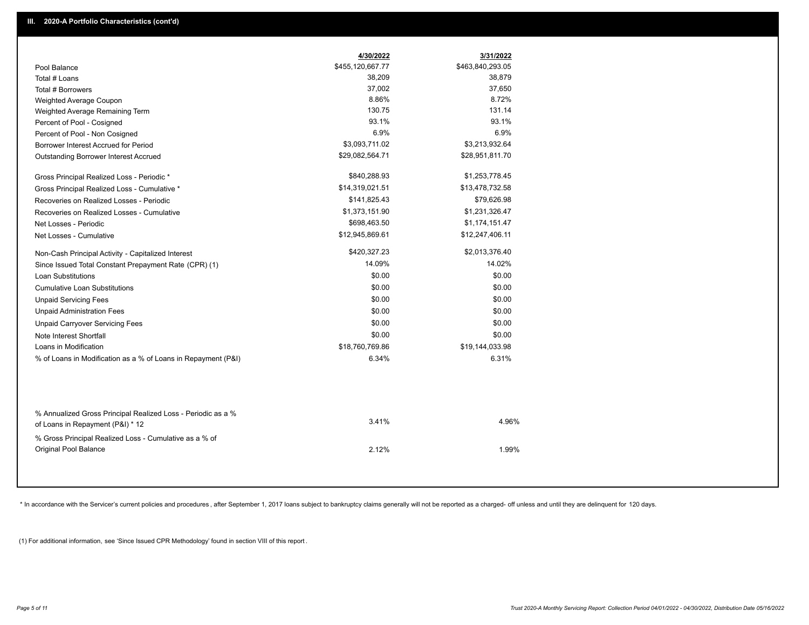|                                                                                                  | 4/30/2022        | 3/31/2022        |  |
|--------------------------------------------------------------------------------------------------|------------------|------------------|--|
| Pool Balance                                                                                     | \$455,120,667.77 | \$463,840,293.05 |  |
| Total # Loans                                                                                    | 38,209           | 38,879           |  |
| Total # Borrowers                                                                                | 37,002           | 37,650           |  |
| Weighted Average Coupon                                                                          | 8.86%            | 8.72%            |  |
| Weighted Average Remaining Term                                                                  | 130.75           | 131.14           |  |
| Percent of Pool - Cosigned                                                                       | 93.1%            | 93.1%            |  |
| Percent of Pool - Non Cosigned                                                                   | 6.9%             | 6.9%             |  |
| Borrower Interest Accrued for Period                                                             | \$3,093,711.02   | \$3,213,932.64   |  |
| Outstanding Borrower Interest Accrued                                                            | \$29,082,564.71  | \$28,951,811.70  |  |
| Gross Principal Realized Loss - Periodic *                                                       | \$840,288.93     | \$1,253,778.45   |  |
| Gross Principal Realized Loss - Cumulative *                                                     | \$14,319,021.51  | \$13,478,732.58  |  |
| Recoveries on Realized Losses - Periodic                                                         | \$141,825.43     | \$79,626.98      |  |
| Recoveries on Realized Losses - Cumulative                                                       | \$1,373,151.90   | \$1,231,326.47   |  |
| Net Losses - Periodic                                                                            | \$698,463.50     | \$1,174,151.47   |  |
| Net Losses - Cumulative                                                                          | \$12,945,869.61  | \$12,247,406.11  |  |
| Non-Cash Principal Activity - Capitalized Interest                                               | \$420,327.23     | \$2,013,376.40   |  |
| Since Issued Total Constant Prepayment Rate (CPR) (1)                                            | 14.09%           | 14.02%           |  |
| <b>Loan Substitutions</b>                                                                        | \$0.00           | \$0.00           |  |
| <b>Cumulative Loan Substitutions</b>                                                             | \$0.00           | \$0.00           |  |
| <b>Unpaid Servicing Fees</b>                                                                     | \$0.00           | \$0.00           |  |
| <b>Unpaid Administration Fees</b>                                                                | \$0.00           | \$0.00           |  |
| <b>Unpaid Carryover Servicing Fees</b>                                                           | \$0.00           | \$0.00           |  |
| Note Interest Shortfall                                                                          | \$0.00           | \$0.00           |  |
| Loans in Modification                                                                            | \$18,760,769.86  | \$19,144,033.98  |  |
| % of Loans in Modification as a % of Loans in Repayment (P&I)                                    | 6.34%            | 6.31%            |  |
|                                                                                                  |                  |                  |  |
| % Annualized Gross Principal Realized Loss - Periodic as a %<br>of Loans in Repayment (P&I) * 12 | 3.41%            | 4.96%            |  |
| % Gross Principal Realized Loss - Cumulative as a % of<br><b>Original Pool Balance</b>           | 2.12%            | 1.99%            |  |

\* In accordance with the Servicer's current policies and procedures, after September 1, 2017 loans subject to bankruptcy claims generally will not be reported as a charged- off unless and until they are delinquent for 120

(1) For additional information, see 'Since Issued CPR Methodology' found in section VIII of this report .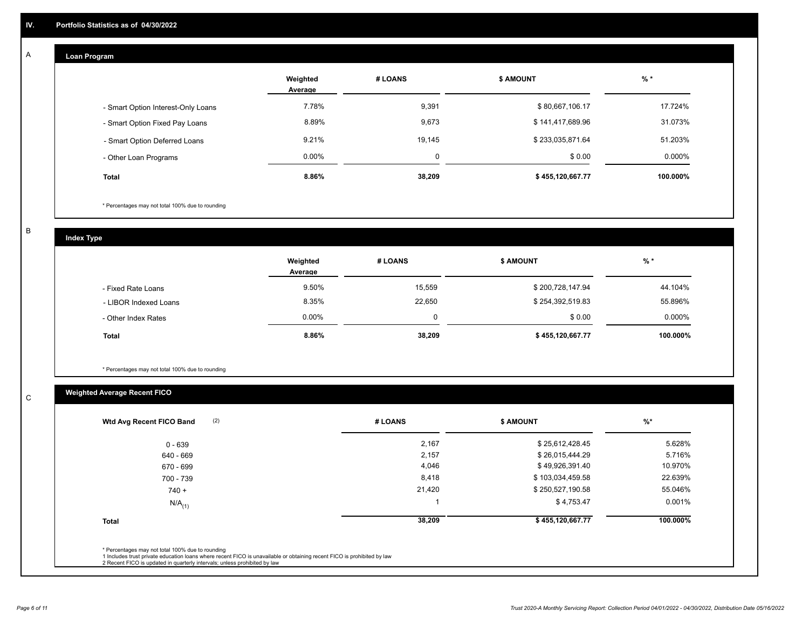## **Loan Program**

A

|                                    | Weighted<br>Average | # LOANS | <b>\$ AMOUNT</b> | $%$ *     |
|------------------------------------|---------------------|---------|------------------|-----------|
| - Smart Option Interest-Only Loans | 7.78%               | 9,391   | \$80,667,106.17  | 17.724%   |
| - Smart Option Fixed Pay Loans     | 8.89%               | 9,673   | \$141,417,689.96 | 31.073%   |
| - Smart Option Deferred Loans      | 9.21%               | 19,145  | \$233,035,871.64 | 51.203%   |
| - Other Loan Programs              | $0.00\%$            | ۵       | \$0.00           | $0.000\%$ |
| <b>Total</b>                       | 8.86%               | 38,209  | \$455,120,667.77 | 100.000%  |

\* Percentages may not total 100% due to rounding

B

C

**Index Type**

|                       | Weighted<br>Average | # LOANS | <b>\$ AMOUNT</b> | $%$ *     |
|-----------------------|---------------------|---------|------------------|-----------|
| - Fixed Rate Loans    | 9.50%               | 15,559  | \$200,728,147.94 | 44.104%   |
| - LIBOR Indexed Loans | 8.35%               | 22,650  | \$254,392,519.83 | 55.896%   |
| - Other Index Rates   | $0.00\%$            |         | \$0.00           | $0.000\%$ |
| <b>Total</b>          | 8.86%               | 38,209  | \$455,120,667.77 | 100.000%  |

\* Percentages may not total 100% due to rounding

# **Weighted Average Recent FICO**

| (2)<br>Wtd Avg Recent FICO Band | # LOANS | <b>\$ AMOUNT</b> | $\frac{9}{6}$ * |
|---------------------------------|---------|------------------|-----------------|
| $0 - 639$                       | 2,167   | \$25,612,428.45  | 5.628%          |
| 640 - 669                       | 2,157   | \$26,015,444.29  | 5.716%          |
| 670 - 699                       | 4,046   | \$49,926,391.40  | 10.970%         |
| 700 - 739                       | 8,418   | \$103,034,459.58 | 22.639%         |
| $740 +$                         | 21,420  | \$250,527,190.58 | 55.046%         |
| $N/A$ <sub>(1)</sub>            |         | \$4,753.47       | 0.001%          |
| <b>Total</b>                    | 38,209  | \$455,120,667.77 | 100.000%        |
|                                 |         |                  |                 |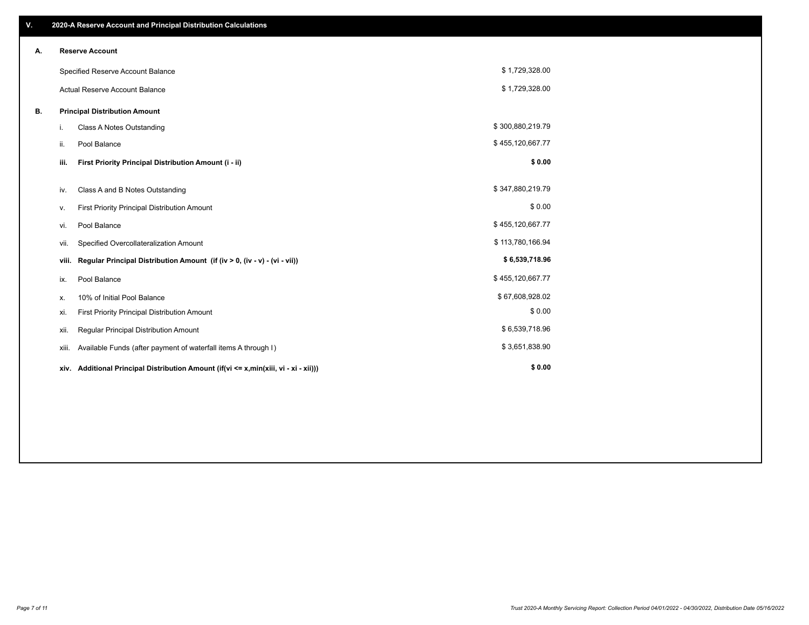| V. |                                      | 2020-A Reserve Account and Principal Distribution Calculations                  |                  |  |
|----|--------------------------------------|---------------------------------------------------------------------------------|------------------|--|
| А. | <b>Reserve Account</b>               |                                                                                 |                  |  |
|    |                                      | Specified Reserve Account Balance                                               | \$1,729,328.00   |  |
|    | Actual Reserve Account Balance       |                                                                                 | \$1,729,328.00   |  |
| В. | <b>Principal Distribution Amount</b> |                                                                                 |                  |  |
|    | i.                                   | <b>Class A Notes Outstanding</b>                                                | \$300,880,219.79 |  |
|    | ii.                                  | Pool Balance                                                                    | \$455,120,667.77 |  |
|    | iii.                                 | First Priority Principal Distribution Amount (i - ii)                           | \$0.00           |  |
|    | iv.                                  | Class A and B Notes Outstanding                                                 | \$347,880,219.79 |  |
|    | v.                                   | First Priority Principal Distribution Amount                                    | \$0.00           |  |
|    | vi.                                  | Pool Balance                                                                    | \$455,120,667.77 |  |
|    | vii.                                 | Specified Overcollateralization Amount                                          | \$113,780,166.94 |  |
|    | viii.                                | Regular Principal Distribution Amount (if (iv > 0, (iv - v) - (vi - vii))       | \$6,539,718.96   |  |
|    | ix.                                  | Pool Balance                                                                    | \$455,120,667.77 |  |
|    | х.                                   | 10% of Initial Pool Balance                                                     | \$67,608,928.02  |  |
|    | xi.                                  | First Priority Principal Distribution Amount                                    | \$0.00           |  |
|    | xii.                                 | Regular Principal Distribution Amount                                           | \$6,539,718.96   |  |
|    | xiii.                                | Available Funds (after payment of waterfall items A through I)                  | \$3,651,838.90   |  |
|    | xiv.                                 | Additional Principal Distribution Amount (if(vi <= x,min(xiii, vi - xi - xii))) | \$0.00           |  |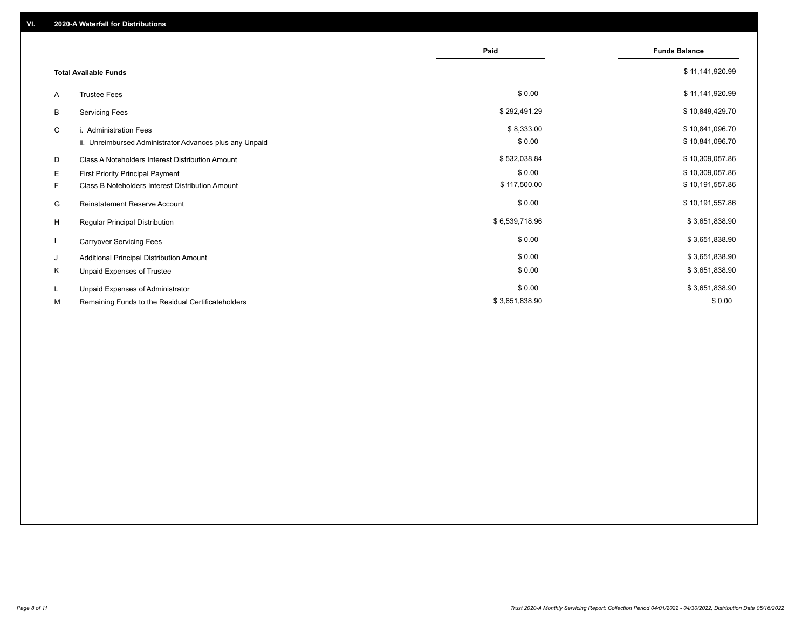|    |                                                         | Paid           | <b>Funds Balance</b> |
|----|---------------------------------------------------------|----------------|----------------------|
|    |                                                         |                |                      |
|    | <b>Total Available Funds</b>                            |                | \$11,141,920.99      |
| A  | <b>Trustee Fees</b>                                     | \$0.00         | \$11,141,920.99      |
| B  | <b>Servicing Fees</b>                                   | \$292,491.29   | \$10,849,429.70      |
| C  | i. Administration Fees                                  | \$8,333.00     | \$10,841,096.70      |
|    | ii. Unreimbursed Administrator Advances plus any Unpaid | \$0.00         | \$10,841,096.70      |
| D  | Class A Noteholders Interest Distribution Amount        | \$532,038.84   | \$10,309,057.86      |
| Е  | <b>First Priority Principal Payment</b>                 | \$0.00         | \$10,309,057.86      |
| F. | <b>Class B Noteholders Interest Distribution Amount</b> | \$117,500.00   | \$10,191,557.86      |
| G  | <b>Reinstatement Reserve Account</b>                    | \$0.00         | \$10,191,557.86      |
| H  | Regular Principal Distribution                          | \$6,539,718.96 | \$3,651,838.90       |
|    | <b>Carryover Servicing Fees</b>                         | \$0.00         | \$3,651,838.90       |
| J  | Additional Principal Distribution Amount                | \$0.00         | \$3,651,838.90       |
| Κ  | Unpaid Expenses of Trustee                              | \$0.00         | \$3,651,838.90       |
| L. | Unpaid Expenses of Administrator                        | \$0.00         | \$3,651,838.90       |
| М  | Remaining Funds to the Residual Certificateholders      | \$3,651,838.90 | \$0.00               |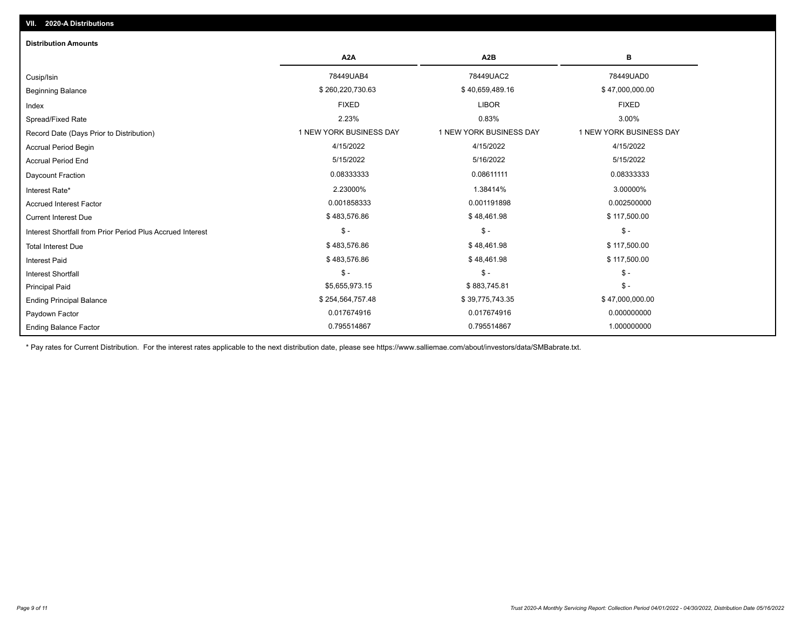| <b>Distribution Amounts</b>                                |                         |                         |                         |  |
|------------------------------------------------------------|-------------------------|-------------------------|-------------------------|--|
|                                                            | A <sub>2</sub> A        | A <sub>2</sub> B        | в                       |  |
| Cusip/Isin                                                 | 78449UAB4               | 78449UAC2               | 78449UAD0               |  |
| <b>Beginning Balance</b>                                   | \$260,220,730.63        | \$40,659,489.16         | \$47,000,000.00         |  |
| Index                                                      | <b>FIXED</b>            | <b>LIBOR</b>            | <b>FIXED</b>            |  |
| Spread/Fixed Rate                                          | 2.23%                   | 0.83%                   | 3.00%                   |  |
| Record Date (Days Prior to Distribution)                   | 1 NEW YORK BUSINESS DAY | 1 NEW YORK BUSINESS DAY | 1 NEW YORK BUSINESS DAY |  |
| <b>Accrual Period Begin</b>                                | 4/15/2022               | 4/15/2022               | 4/15/2022               |  |
| <b>Accrual Period End</b>                                  | 5/15/2022               | 5/16/2022               | 5/15/2022               |  |
| Daycount Fraction                                          | 0.08333333              | 0.08611111              | 0.08333333              |  |
| Interest Rate*                                             | 2.23000%                | 1.38414%                | 3.00000%                |  |
| <b>Accrued Interest Factor</b>                             | 0.001858333             | 0.001191898             | 0.002500000             |  |
| <b>Current Interest Due</b>                                | \$483,576.86            | \$48,461.98             | \$117,500.00            |  |
| Interest Shortfall from Prior Period Plus Accrued Interest | $\mathcal{S}$ -         | $\frac{1}{2}$           | $\mathsf{\$}$ -         |  |
| <b>Total Interest Due</b>                                  | \$483,576.86            | \$48,461.98             | \$117,500.00            |  |
| <b>Interest Paid</b>                                       | \$483,576.86            | \$48,461.98             | \$117,500.00            |  |
| <b>Interest Shortfall</b>                                  | $\mathcal{S}$ -         | $$ -$                   | $\mathcal{S}$ -         |  |
| <b>Principal Paid</b>                                      | \$5,655,973.15          | \$883,745.81            | $\mathsf{\$}$ -         |  |
| <b>Ending Principal Balance</b>                            | \$254,564,757.48        | \$39,775,743.35         | \$47,000,000.00         |  |
| Paydown Factor                                             | 0.017674916             | 0.017674916             | 0.000000000             |  |
| <b>Ending Balance Factor</b>                               | 0.795514867             | 0.795514867             | 1.000000000             |  |

\* Pay rates for Current Distribution. For the interest rates applicable to the next distribution date, please see https://www.salliemae.com/about/investors/data/SMBabrate.txt.

**VII. 2020-A Distributions**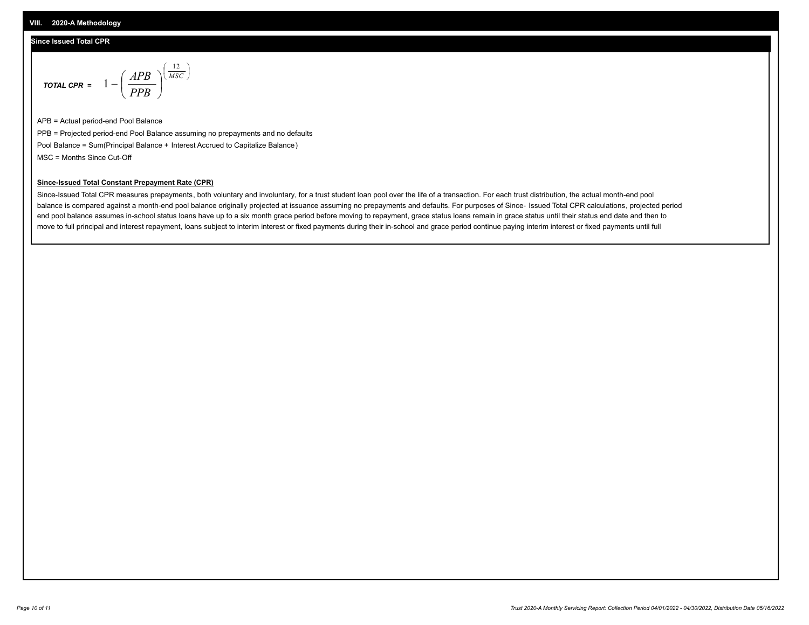### **Since Issued Total CPR**

$$
\text{total CPR} = 1 - \left(\frac{APB}{PPB}\right)^{\left(\frac{12}{MSC}\right)}
$$

APB = Actual period-end Pool Balance PPB = Projected period-end Pool Balance assuming no prepayments and no defaults Pool Balance = Sum(Principal Balance + Interest Accrued to Capitalize Balance) MSC = Months Since Cut-Off

I J Ι

#### **Since-Issued Total Constant Prepayment Rate (CPR)**

Since-Issued Total CPR measures prepayments, both voluntary and involuntary, for a trust student loan pool over the life of a transaction. For each trust distribution, the actual month-end pool balance is compared against a month-end pool balance originally projected at issuance assuming no prepayments and defaults. For purposes of Since- Issued Total CPR calculations, projected period end pool balance assumes in-school status loans have up to a six month grace period before moving to repayment, grace status loans remain in grace status until their status end date and then to move to full principal and interest repayment, loans subject to interim interest or fixed payments during their in-school and grace period continue paying interim interest or fixed payments until full